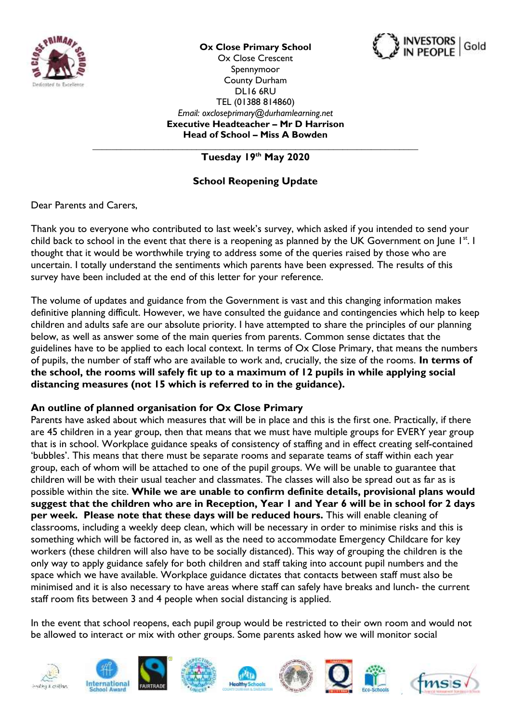

**Ox Close Primary School**



Ox Close Crescent Spennymoor County Durham DL16 6RU TEL (01388 814860) *Email: oxcloseprimary@durhamlearning.net* **Executive Headteacher – Mr D Harrison Head of School – Miss A Bowden**

**\_\_\_\_\_\_\_\_\_\_\_\_\_\_\_\_\_\_\_\_\_\_\_\_\_\_\_\_\_\_\_\_\_\_\_\_\_\_\_\_\_\_\_\_\_\_\_\_\_\_\_\_\_\_\_\_\_\_\_\_\_\_\_\_\_\_\_\_\_ Tuesday 19th May 2020**

# **School Reopening Update**

Dear Parents and Carers

Thank you to everyone who contributed to last week's survey, which asked if you intended to send your child back to school in the event that there is a reopening as planned by the UK Government on June 1st. I thought that it would be worthwhile trying to address some of the queries raised by those who are uncertain. I totally understand the sentiments which parents have been expressed. The results of this survey have been included at the end of this letter for your reference.

The volume of updates and guidance from the Government is vast and this changing information makes definitive planning difficult. However, we have consulted the guidance and contingencies which help to keep children and adults safe are our absolute priority. I have attempted to share the principles of our planning below, as well as answer some of the main queries from parents. Common sense dictates that the guidelines have to be applied to each local context. In terms of Ox Close Primary, that means the numbers of pupils, the number of staff who are available to work and, crucially, the size of the rooms. **In terms of the school, the rooms will safely fit up to a maximum of 12 pupils in while applying social distancing measures (not 15 which is referred to in the guidance).** 

#### **An outline of planned organisation for Ox Close Primary**

Parents have asked about which measures that will be in place and this is the first one. Practically, if there are 45 children in a year group, then that means that we must have multiple groups for EVERY year group that is in school. Workplace guidance speaks of consistency of staffing and in effect creating self-contained 'bubbles'. This means that there must be separate rooms and separate teams of staff within each year group, each of whom will be attached to one of the pupil groups. We will be unable to guarantee that children will be with their usual teacher and classmates. The classes will also be spread out as far as is possible within the site. **While we are unable to confirm definite details, provisional plans would suggest that the children who are in Reception, Year 1 and Year 6 will be in school for 2 days per week. Please note that these days will be reduced hours.** This will enable cleaning of classrooms, including a weekly deep clean, which will be necessary in order to minimise risks and this is something which will be factored in, as well as the need to accommodate Emergency Childcare for key workers (these children will also have to be socially distanced). This way of grouping the children is the only way to apply guidance safely for both children and staff taking into account pupil numbers and the space which we have available. Workplace guidance dictates that contacts between staff must also be minimised and it is also necessary to have areas where staff can safely have breaks and lunch- the current staff room fits between 3 and 4 people when social distancing is applied.

In the event that school reopens, each pupil group would be restricted to their own room and would not be allowed to interact or mix with other groups. Some parents asked how we will monitor social

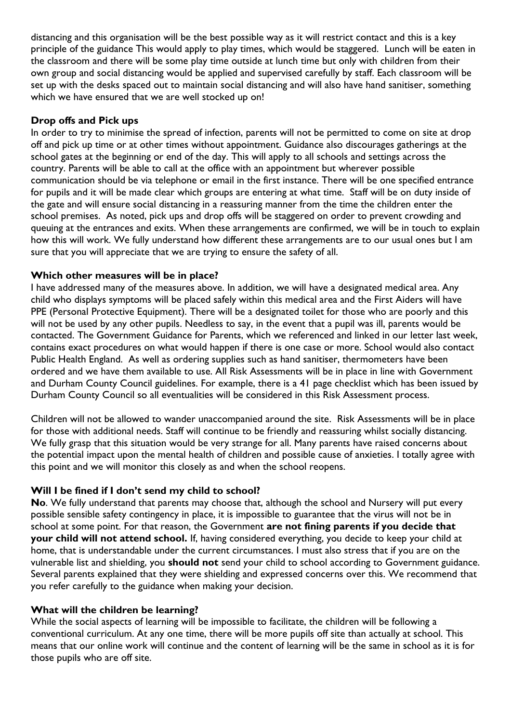distancing and this organisation will be the best possible way as it will restrict contact and this is a key principle of the guidance This would apply to play times, which would be staggered. Lunch will be eaten in the classroom and there will be some play time outside at lunch time but only with children from their own group and social distancing would be applied and supervised carefully by staff. Each classroom will be set up with the desks spaced out to maintain social distancing and will also have hand sanitiser, something which we have ensured that we are well stocked up on!

#### **Drop offs and Pick ups**

In order to try to minimise the spread of infection, parents will not be permitted to come on site at drop off and pick up time or at other times without appointment. Guidance also discourages gatherings at the school gates at the beginning or end of the day. This will apply to all schools and settings across the country. Parents will be able to call at the office with an appointment but wherever possible communication should be via telephone or email in the first instance. There will be one specified entrance for pupils and it will be made clear which groups are entering at what time. Staff will be on duty inside of the gate and will ensure social distancing in a reassuring manner from the time the children enter the school premises. As noted, pick ups and drop offs will be staggered on order to prevent crowding and queuing at the entrances and exits. When these arrangements are confirmed, we will be in touch to explain how this will work. We fully understand how different these arrangements are to our usual ones but I am sure that you will appreciate that we are trying to ensure the safety of all.

#### **Which other measures will be in place?**

I have addressed many of the measures above. In addition, we will have a designated medical area. Any child who displays symptoms will be placed safely within this medical area and the First Aiders will have PPE (Personal Protective Equipment). There will be a designated toilet for those who are poorly and this will not be used by any other pupils. Needless to say, in the event that a pupil was ill, parents would be contacted. The Government Guidance for Parents, which we referenced and linked in our letter last week, contains exact procedures on what would happen if there is one case or more. School would also contact Public Health England. As well as ordering supplies such as hand sanitiser, thermometers have been ordered and we have them available to use. All Risk Assessments will be in place in line with Government and Durham County Council guidelines. For example, there is a 41 page checklist which has been issued by Durham County Council so all eventualities will be considered in this Risk Assessment process.

Children will not be allowed to wander unaccompanied around the site. Risk Assessments will be in place for those with additional needs. Staff will continue to be friendly and reassuring whilst socially distancing. We fully grasp that this situation would be very strange for all. Many parents have raised concerns about the potential impact upon the mental health of children and possible cause of anxieties. I totally agree with this point and we will monitor this closely as and when the school reopens.

#### **Will I be fined if I don't send my child to school?**

**No**. We fully understand that parents may choose that, although the school and Nursery will put every possible sensible safety contingency in place, it is impossible to guarantee that the virus will not be in school at some point. For that reason, the Government **are not fining parents if you decide that your child will not attend school.** If, having considered everything, you decide to keep your child at home, that is understandable under the current circumstances. I must also stress that if you are on the vulnerable list and shielding, you **should not** send your child to school according to Government guidance. Several parents explained that they were shielding and expressed concerns over this. We recommend that you refer carefully to the guidance when making your decision.

#### **What will the children be learning?**

While the social aspects of learning will be impossible to facilitate, the children will be following a conventional curriculum. At any one time, there will be more pupils off site than actually at school. This means that our online work will continue and the content of learning will be the same in school as it is for those pupils who are off site.